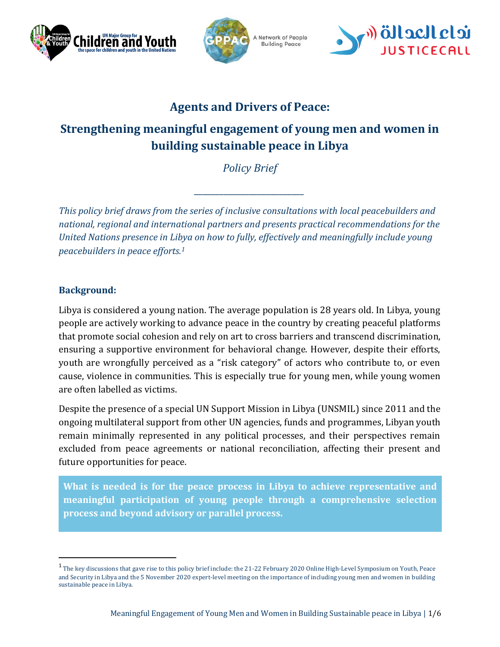





## **Agents and Drivers of Peace:**

# **Strengthening meaningful engagement of young men and women in building sustainable peace in Libya**

*Policy Brief*

*\_\_\_\_\_\_\_\_\_\_\_\_\_\_\_\_\_\_\_\_\_\_\_\_\_\_*

*This policy brief draws from the series of inclusive consultations with local peacebuilders and national, regional and international partners and presents practical recommendations for the United Nations presence in Libya on how to fully, effectively and meaningfully include young peacebuilders in peace efforts.<sup>1</sup>*

## **Background:**

 $\overline{a}$ 

Libya is considered a young nation. The average population is 28 years old. In Libya, young people are actively working to advance peace in the country by creating peaceful platforms that promote social cohesion and rely on art to cross barriers and transcend discrimination, ensuring a supportive environment for behavioral change. However, despite their efforts, youth are wrongfully perceived as a "risk category" of actors who contribute to, or even cause, violence in communities. This is especially true for young men, while young women are often labelled as victims.

Despite the presence of a special UN Support Mission in Libya (UNSMIL) since 2011 and the ongoing multilateral support from other UN agencies, funds and programmes, Libyan youth remain minimally represented in any political processes, and their perspectives remain excluded from peace agreements or national reconciliation, affecting their present and future opportunities for peace.

**What is needed is for the peace process in Libya to achieve representative and meaningful participation of young people through a comprehensive selection process and beyond advisory or parallel process.** 

 $^{\rm 1}$  The key discussions that gave rise to this policy brief include: the 21-22 February 2020 Online High-Level Symposium on Youth, Peace and Security in Libya and the 5 November 2020 expert-level meeting on the importance of including young men and women in building sustainable peace in Libya.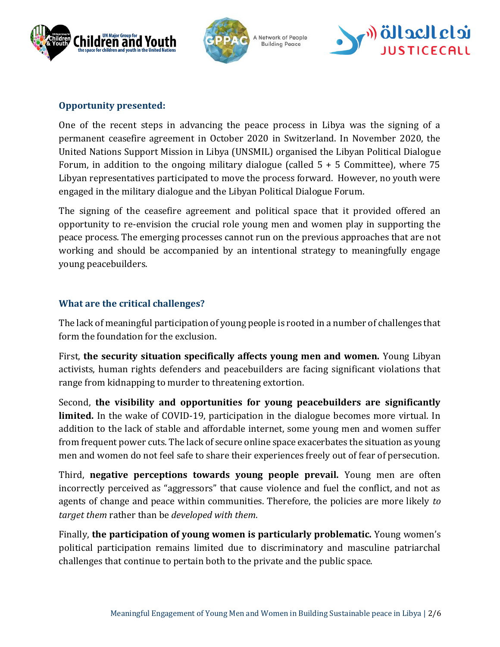





## **Opportunity presented:**

One of the recent steps in advancing the peace process in Libya was the signing of a permanent ceasefire agreement in October 2020 in Switzerland. In November 2020, the United Nations Support Mission in Libya (UNSMIL) organised the Libyan Political Dialogue Forum, in addition to the ongoing military dialogue (called  $5 + 5$  Committee), where 75 Libyan representatives participated to move the process forward. However, no youth were engaged in the military dialogue and the Libyan Political Dialogue Forum.

The signing of the ceasefire agreement and political space that it provided offered an opportunity to re-envision the crucial role young men and women play in supporting the peace process. The emerging processes cannot run on the previous approaches that are not working and should be accompanied by an intentional strategy to meaningfully engage young peacebuilders.

## **What are the critical challenges?**

The lack of meaningful participation of young people is rooted in a number of challenges that form the foundation for the exclusion.

First, **the security situation specifically affects young men and women.** Young Libyan activists, human rights defenders and peacebuilders are facing significant violations that range from kidnapping to murder to threatening extortion.

Second, **the visibility and opportunities for young peacebuilders are significantly limited.** In the wake of COVID-19, participation in the dialogue becomes more virtual. In addition to the lack of stable and affordable internet, some young men and women suffer from frequent power cuts. The lack of secure online space exacerbates the situation as young men and women do not feel safe to share their experiences freely out of fear of persecution.

Third, **negative perceptions towards young people prevail.** Young men are often incorrectly perceived as "aggressors" that cause violence and fuel the conflict, and not as agents of change and peace within communities. Therefore, the policies are more likely *to target them* rather than be *developed with them*.

Finally, **the participation of young women is particularly problematic.** Young women's political participation remains limited due to discriminatory and masculine patriarchal challenges that continue to pertain both to the private and the public space.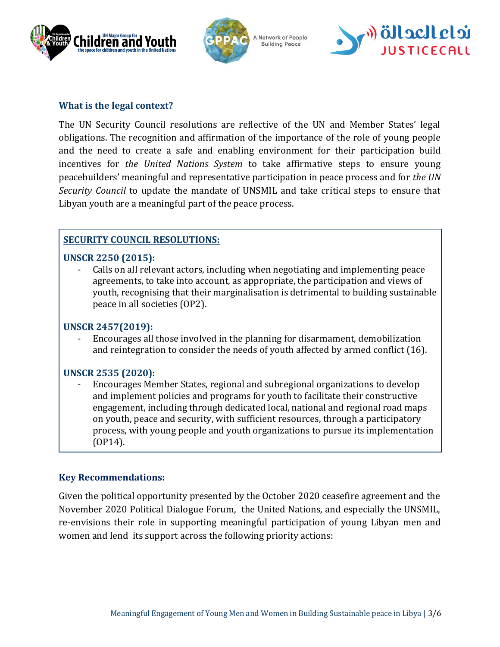





#### **What is the legal context?**

The UN Security Council resolutions are reflective of the UN and Member States' legal obligations. The recognition and affirmation of the importance of the role of young people and the need to create a safe and enabling environment for their participation build incentives for *the United Nations System* to take affirmative steps to ensure young peacebuilders' meaningful and representative participation in peace process and for *the UN Security Council* to update the mandate of UNSMIL and take critical steps to ensure that Libyan youth are a meaningful part of the peace process.

## **SECURITY COUNCIL RESOLUTIONS:**

## **UNSCR 2250 (2015):**

- Calls on all relevant actors, including when negotiating and implementing peace agreements, to take into account, as appropriate, the participation and views of youth, recognising that their marginalisation is detrimental to building sustainable peace in all societies (OP2).

## **UNSCR 2457(2019):**

- Encourages all those involved in the planning for disarmament, demobilization and reintegration to consider the needs of youth affected by armed conflict (16).

## **UNSCR 2535 (2020):**

- Encourages Member States, regional and subregional organizations to develop and implement policies and programs for youth to facilitate their constructive engagement, including through dedicated local, national and regional road maps on youth, peace and security, with sufficient resources, through a participatory process, with young people and youth organizations to pursue its implementation (OP14).

## **Key Recommendations:**

Given the political opportunity presented by the October 2020 ceasefire agreement and the November 2020 Political Dialogue Forum, the United Nations, and especially the UNSMIL, re-envisions their role in supporting meaningful participation of young Libyan men and women and lend its support across the following priority actions: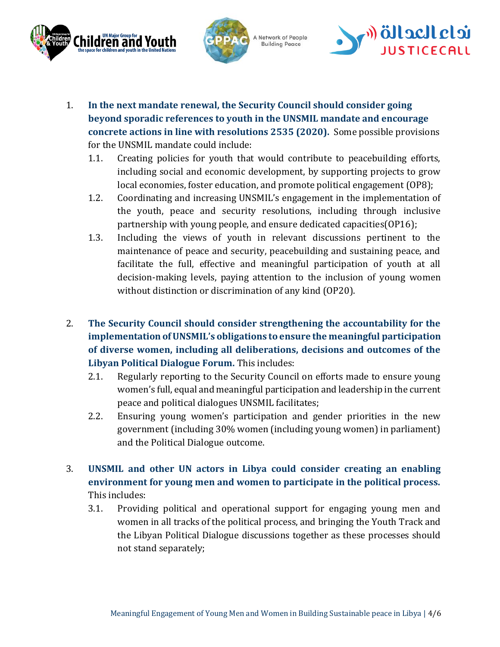



A Network of People **Building Peace** 



- 1. **In the next mandate renewal, the Security Council should consider going beyond sporadic references to youth in the UNSMIL mandate and encourage concrete actions in line with resolutions 2535 (2020).** Some possible provisions for the UNSMIL mandate could include:
	- 1.1. Creating policies for youth that would contribute to peacebuilding efforts, including social and economic development, by supporting projects to grow local economies, foster education, and promote political engagement (OP8);
	- 1.2. Coordinating and increasing UNSMIL's engagement in the implementation of the youth, peace and security resolutions, including through inclusive partnership with young people, and ensure dedicated capacities(OP16);
	- 1.3. Including the views of youth in relevant discussions pertinent to the maintenance of peace and security, peacebuilding and sustaining peace, and facilitate the full, effective and meaningful participation of youth at all decision-making levels, paying attention to the inclusion of young women without distinction or discrimination of any kind (OP20).
- 2. **The Security Council should consider strengthening the accountability for the implementation of UNSMIL's obligations to ensure the meaningful participation of diverse women, including all deliberations, decisions and outcomes of the Libyan Political Dialogue Forum.** This includes:
	- 2.1. Regularly reporting to the Security Council on efforts made to ensure young women's full, equal and meaningful participation and leadership in the current peace and political dialogues UNSMIL facilitates;
	- 2.2. Ensuring young women's participation and gender priorities in the new government (including 30% women (including young women) in parliament) and the Political Dialogue outcome.
- 3. **UNSMIL and other UN actors in Libya could consider creating an enabling environment for young men and women to participate in the political process.**  This includes:
	- 3.1. Providing political and operational support for engaging young men and women in all tracks of the political process, and bringing the Youth Track and the Libyan Political Dialogue discussions together as these processes should not stand separately;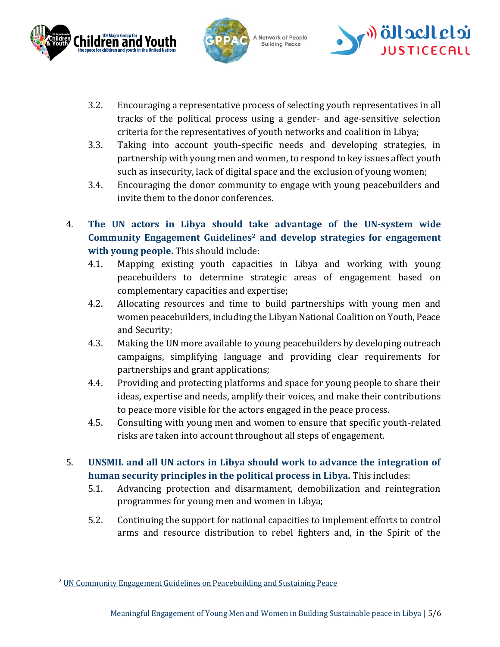



A Network of People **Building Peace** 



- 3.2. Encouraging a representative process of selecting youth representatives in all tracks of the political process using a gender- and age-sensitive selection criteria for the representatives of youth networks and coalition in Libya;
- 3.3. Taking into account youth-specific needs and developing strategies, in partnership with young men and women, to respond to key issues affect youth such as insecurity, lack of digital space and the exclusion of young women;
- 3.4. Encouraging the donor community to engage with young peacebuilders and invite them to the donor conferences.
- 4. **The UN actors in Libya should take advantage of the UN-system wide Community Engagement Guidelines<sup>2</sup> and develop strategies for engagement with young people.** This should include:
	- 4.1. Mapping existing youth capacities in Libya and working with young peacebuilders to determine strategic areas of engagement based on complementary capacities and expertise;
	- 4.2. Allocating resources and time to build partnerships with young men and women peacebuilders, including the Libyan National Coalition on Youth, Peace and Security;
	- 4.3. Making the UN more available to young peacebuilders by developing outreach campaigns, simplifying language and providing clear requirements for partnerships and grant applications;
	- 4.4. Providing and protecting platforms and space for young people to share their ideas, expertise and needs, amplify their voices, and make their contributions to peace more visible for the actors engaged in the peace process.
	- 4.5. Consulting with young men and women to ensure that specific youth-related risks are taken into account throughout all steps of engagement.
- 5. **UNSMIL and all UN actors in Libya should work to advance the integration of human security principles in the political process in Libya.** This includes:
	- 5.1. Advancing protection and disarmament, demobilization and reintegration programmes for young men and women in Libya;
	- 5.2. Continuing the support for national capacities to implement efforts to control arms and resource distribution to rebel fighters and, in the Spirit of the

 $\overline{a}$ 

<sup>2</sup> [UN Community Engagement Guidelines on Peacebuilding and Sustaining Peace](https://www.un.org/peacebuilding/content/un-community-engagement-guidelines-peacebuilding-and-sustaining-peace)